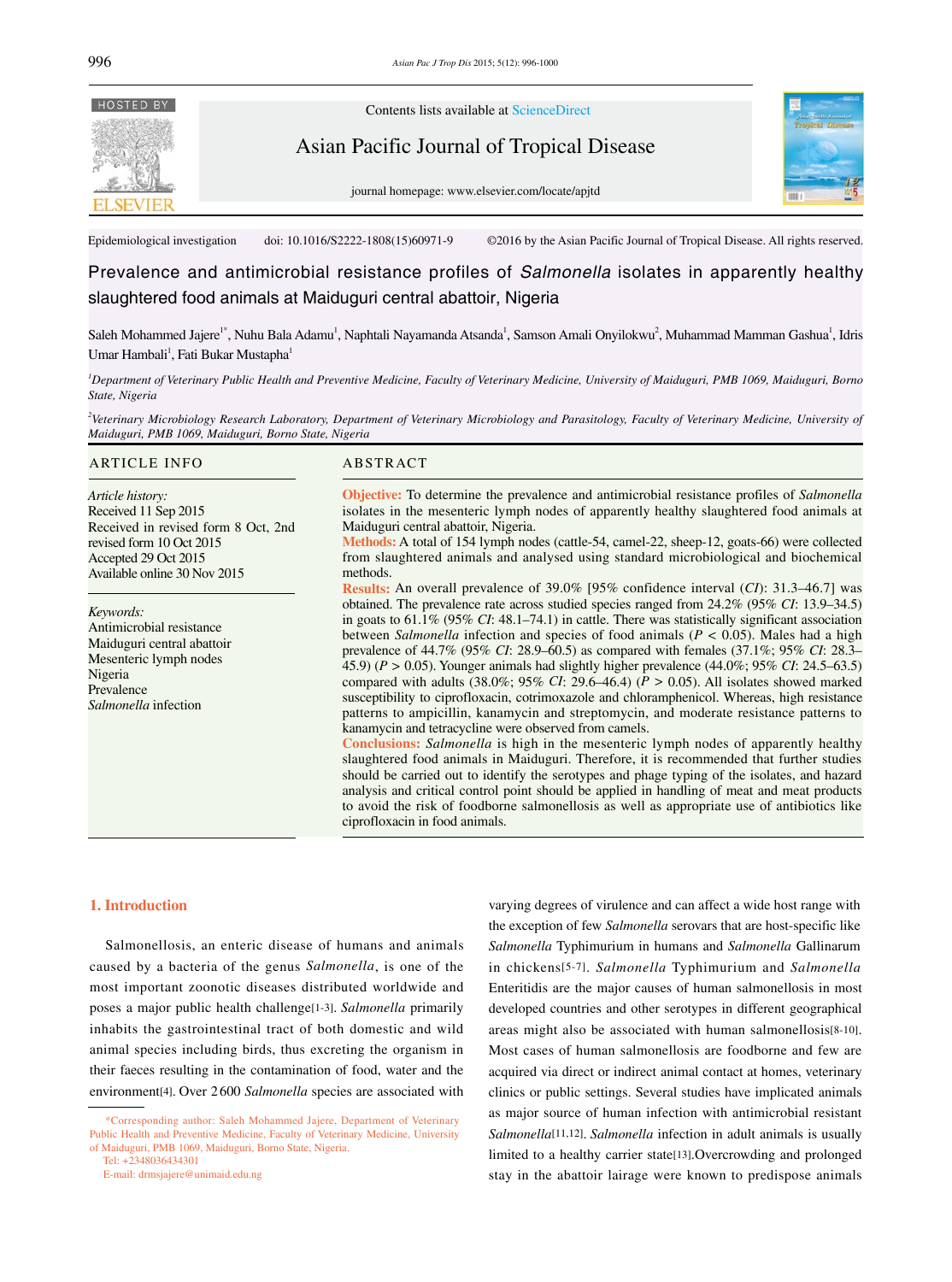

Contents lists available at ScienceDirect

Asian Pacific Journal of Tropical Disease



journal homepage: www.elsevier.com/locate/apjtd

Epidemiological investigation doi: 10.1016/S2222-1808(15)60971-9 ©2016 by the Asian Pacific Journal of Tropical Disease. All rights reserved.

# Prevalence and antimicrobial resistance profiles of *Salmonella* isolates in apparently healthy slaughtered food animals at Maiduguri central abattoir, Nigeria

Saleh Mohammed Jajere<sup>1\*</sup>, Nuhu Bala Adamu<sup>1</sup>, Naphtali Nayamanda Atsanda<sup>1</sup>, Samson Amali Onyilokwu<sup>2</sup>, Muhammad Mamman Gashua<sup>1</sup>, Idris Umar Hambali<sup>1</sup>, Fati Bukar Mustapha<sup>1</sup>

*1 Department of Veterinary Public Health and Preventive Medicine, Faculty of Veterinary Medicine, University of Maiduguri, PMB 1069, Maiduguri, Borno State, Nigeria*

*2 Veterinary Microbiology Research Laboratory, Department of Veterinary Microbiology and Parasitology, Faculty of Veterinary Medicine, University of Maiduguri, PMB 1069, Maiduguri, Borno State, Nigeria*

#### ARTICLE INFO ABSTRACT

*Article history:* Received 11 Sep 2015 Received in revised form 8 Oct, 2nd revised form 10 Oct 2015 Accepted 29 Oct 2015 Available online 30 Nov 2015

*Keywords:* Antimicrobial resistance Maiduguri central abattoir Mesenteric lymph nodes Nigeria Prevalence *Salmonella* infection

**Objective:** To determine the prevalence and antimicrobial resistance profiles of *Salmonella* isolates in the mesenteric lymph nodes of apparently healthy slaughtered food animals at Maiduguri central abattoir, Nigeria.

**Methods:** A total of 154 lymph nodes (cattle-54, camel-22, sheep-12, goats-66) were collected from slaughtered animals and analysed using standard microbiological and biochemical methods.

**Results:** An overall prevalence of 39.0% [95% confidence interval (*CI*): 31.3–46.7] was obtained. The prevalence rate across studied species ranged from 24.2% (95% *CI*: 13.9–34.5) in goats to 61.1% (95% *CI*: 48.1–74.1) in cattle. There was statistically significant association between *Salmonella* infection and species of food animals (*P <* 0.05). Males had a high prevalence of 44.7% (95% *CI*: 28.9–60.5) as compared with females (37.1%; 95% *CI*: 28.3– 45.9) (*P >* 0.05). Younger animals had slightly higher prevalence (44.0%; 95% *CI*: 24.5–63.5) compared with adults (38.0%; 95% *CI*: 29.6–46.4) (*P >* 0.05). All isolates showed marked susceptibility to ciprofloxacin, cotrimoxazole and chloramphenicol. Whereas, high resistance patterns to ampicillin, kanamycin and streptomycin, and moderate resistance patterns to kanamycin and tetracycline were observed from camels.

**Conclusions:** *Salmonella* is high in the mesenteric lymph nodes of apparently healthy slaughtered food animals in Maiduguri. Therefore, it is recommended that further studies should be carried out to identify the serotypes and phage typing of the isolates, and hazard analysis and critical control point should be applied in handling of meat and meat products to avoid the risk of foodborne salmonellosis as well as appropriate use of antibiotics like ciprofloxacin in food animals.

# **1. Introduction**

 Salmonellosis, an enteric disease of humans and animals caused by a bacteria of the genus *Salmonella*, is one of the most important zoonotic diseases distributed worldwide and poses a major public health challenge[1-3]. *Salmonella* primarily inhabits the gastrointestinal tract of both domestic and wild animal species including birds, thus excreting the organism in their faeces resulting in the contamination of food, water and the environment[4]. Over 2 600 *Salmonella* species are associated with

Tel: +2348036434301

E-mail: drmsjajere@unimaid.edu.ng

varying degrees of virulence and can affect a wide host range with the exception of few *Salmonella* serovars that are host-specific like *Salmonella* Typhimurium in humans and *Salmonella* Gallinarum in chickens[5-7]. *Salmonella* Typhimurium and *Salmonella* Enteritidis are the major causes of human salmonellosis in most developed countries and other serotypes in different geographical areas might also be associated with human salmonellosis[8-10]. Most cases of human salmonellosis are foodborne and few are acquired via direct or indirect animal contact at homes, veterinary clinics or public settings. Several studies have implicated animals as major source of human infection with antimicrobial resistant *Salmonella*[11,12]. *Salmonella* infection in adult animals is usually limited to a healthy carrier state[13].Overcrowding and prolonged stay in the abattoir lairage were known to predispose animals

 <sup>\*</sup>Corresponding author: Saleh Mohammed Jajere, Department of Veterinary Public Health and Preventive Medicine, Faculty of Veterinary Medicine, University of Maiduguri, PMB 1069, Maiduguri, Borno State, Nigeria.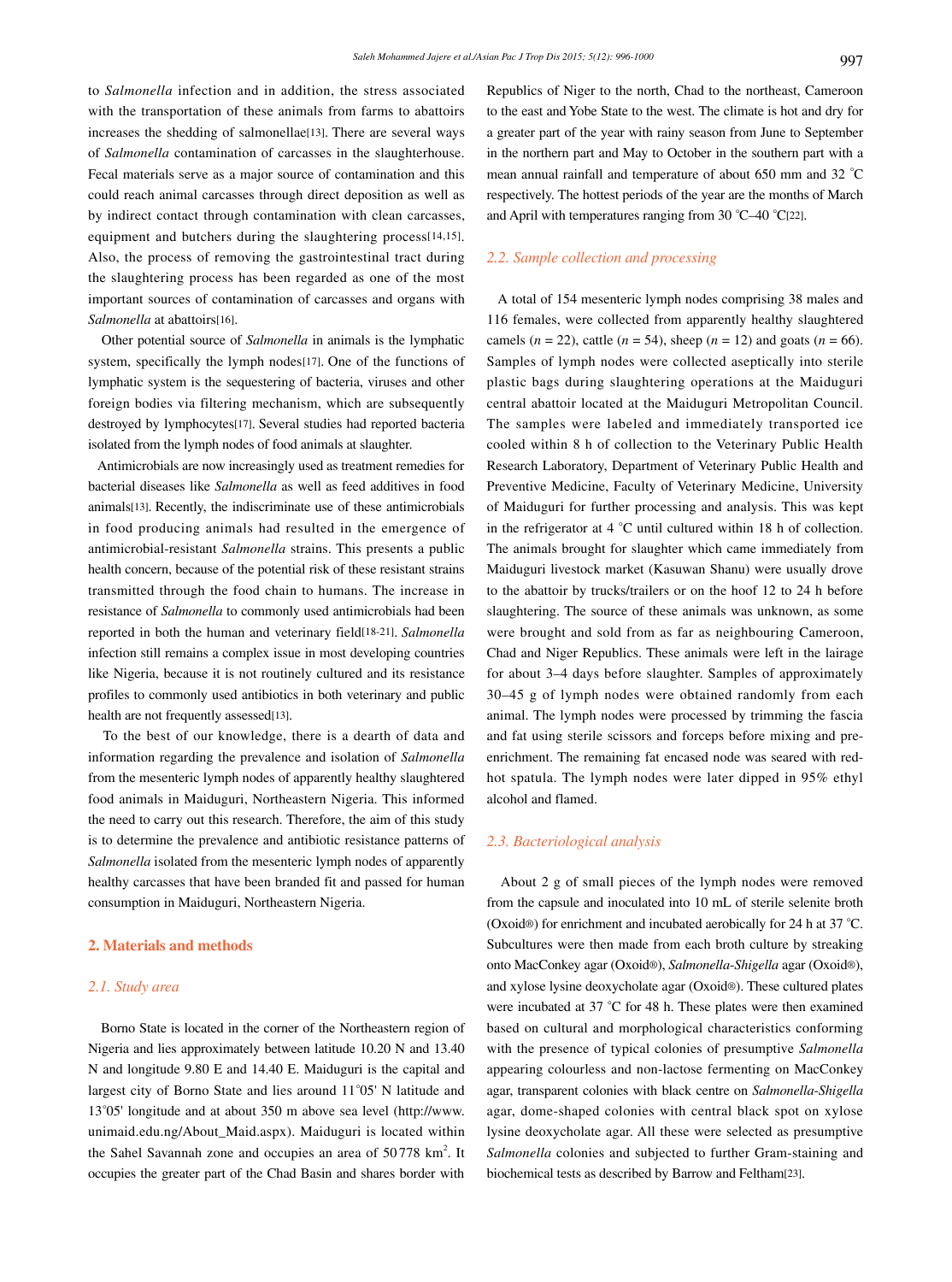to *Salmonella* infection and in addition, the stress associated with the transportation of these animals from farms to abattoirs increases the shedding of salmonellae<sup>[13]</sup>. There are several ways of *Salmonella* contamination of carcasses in the slaughterhouse. Fecal materials serve as a major source of contamination and this could reach animal carcasses through direct deposition as well as by indirect contact through contamination with clean carcasses, equipment and butchers during the slaughtering process[14,15]. Also, the process of removing the gastrointestinal tract during the slaughtering process has been regarded as one of the most important sources of contamination of carcasses and organs with *Salmonella* at abattoirs[16].

 Other potential source of *Salmonella* in animals is the lymphatic system, specifically the lymph nodes[17]. One of the functions of lymphatic system is the sequestering of bacteria, viruses and other foreign bodies via filtering mechanism, which are subsequently destroyed by lymphocytes[17]. Several studies had reported bacteria isolated from the lymph nodes of food animals at slaughter.

 Antimicrobials are now increasingly used as treatment remedies for bacterial diseases like *Salmonella* as well as feed additives in food animals[13]. Recently, the indiscriminate use of these antimicrobials in food producing animals had resulted in the emergence of antimicrobial-resistant *Salmonella* strains. This presents a public health concern, because of the potential risk of these resistant strains transmitted through the food chain to humans. The increase in resistance of *Salmonella* to commonly used antimicrobials had been reported in both the human and veterinary field[18-21]. *Salmonella* infection still remains a complex issue in most developing countries like Nigeria, because it is not routinely cultured and its resistance profiles to commonly used antibiotics in both veterinary and public health are not frequently assessed[13].

 To the best of our knowledge, there is a dearth of data and information regarding the prevalence and isolation of *Salmonella* from the mesenteric lymph nodes of apparently healthy slaughtered food animals in Maiduguri, Northeastern Nigeria. This informed the need to carry out this research. Therefore, the aim of this study is to determine the prevalence and antibiotic resistance patterns of *Salmonella* isolated from the mesenteric lymph nodes of apparently healthy carcasses that have been branded fit and passed for human consumption in Maiduguri, Northeastern Nigeria.

# **2. Materials and methods**

# *2.1. Study area*

 Borno State is located in the corner of the Northeastern region of Nigeria and lies approximately between latitude 10.20 N and 13.40 N and longitude 9.80 E and 14.40 E. Maiduguri is the capital and largest city of Borno State and lies around 11*°*05' N latitude and 13*°*05' longitude and at about 350 m above sea level (http://www. unimaid.edu.ng/About\_Maid.aspx). Maiduguri is located within the Sahel Savannah zone and occupies an area of  $50778 \text{ km}^2$ . It occupies the greater part of the Chad Basin and shares border with

Republics of Niger to the north, Chad to the northeast, Cameroon to the east and Yobe State to the west. The climate is hot and dry for a greater part of the year with rainy season from June to September in the northern part and May to October in the southern part with a mean annual rainfall and temperature of about 650 mm and 32 *°*C respectively. The hottest periods of the year are the months of March and April with temperatures ranging from 30 *°*C–40 *°*C[22].

# *2.2. Sample collection and processing*

 A total of 154 mesenteric lymph nodes comprising 38 males and 116 females, were collected from apparently healthy slaughtered camels ( $n = 22$ ), cattle ( $n = 54$ ), sheep ( $n = 12$ ) and goats ( $n = 66$ ). Samples of lymph nodes were collected aseptically into sterile plastic bags during slaughtering operations at the Maiduguri central abattoir located at the Maiduguri Metropolitan Council. The samples were labeled and immediately transported ice cooled within 8 h of collection to the Veterinary Public Health Research Laboratory, Department of Veterinary Public Health and Preventive Medicine, Faculty of Veterinary Medicine, University of Maiduguri for further processing and analysis. This was kept in the refrigerator at 4 °C until cultured within 18 h of collection. The animals brought for slaughter which came immediately from Maiduguri livestock market (Kasuwan Shanu) were usually drove to the abattoir by trucks/trailers or on the hoof 12 to 24 h before slaughtering. The source of these animals was unknown, as some were brought and sold from as far as neighbouring Cameroon, Chad and Niger Republics. These animals were left in the lairage for about 3–4 days before slaughter. Samples of approximately 30–45 g of lymph nodes were obtained randomly from each animal. The lymph nodes were processed by trimming the fascia and fat using sterile scissors and forceps before mixing and preenrichment. The remaining fat encased node was seared with redhot spatula. The lymph nodes were later dipped in 95% ethyl alcohol and flamed.

# *2.3. Bacteriological analysis*

 About 2 g of small pieces of the lymph nodes were removed from the capsule and inoculated into 10 mL of sterile selenite broth (Oxoid®) for enrichment and incubated aerobically for 24 h at 37 °C. Subcultures were then made from each broth culture by streaking onto MacConkey agar (Oxoid®), *Salmonella*-*Shigella* agar (Oxoid®), and xylose lysine deoxycholate agar (Oxoid®). These cultured plates were incubated at 37 °C for 48 h. These plates were then examined based on cultural and morphological characteristics conforming with the presence of typical colonies of presumptive *Salmonella* appearing colourless and non-lactose fermenting on MacConkey agar, transparent colonies with black centre on *Salmonella*-*Shigella* agar, dome-shaped colonies with central black spot on xylose lysine deoxycholate agar. All these were selected as presumptive *Salmonella* colonies and subjected to further Gram-staining and biochemical tests as described by Barrow and Feltham[23].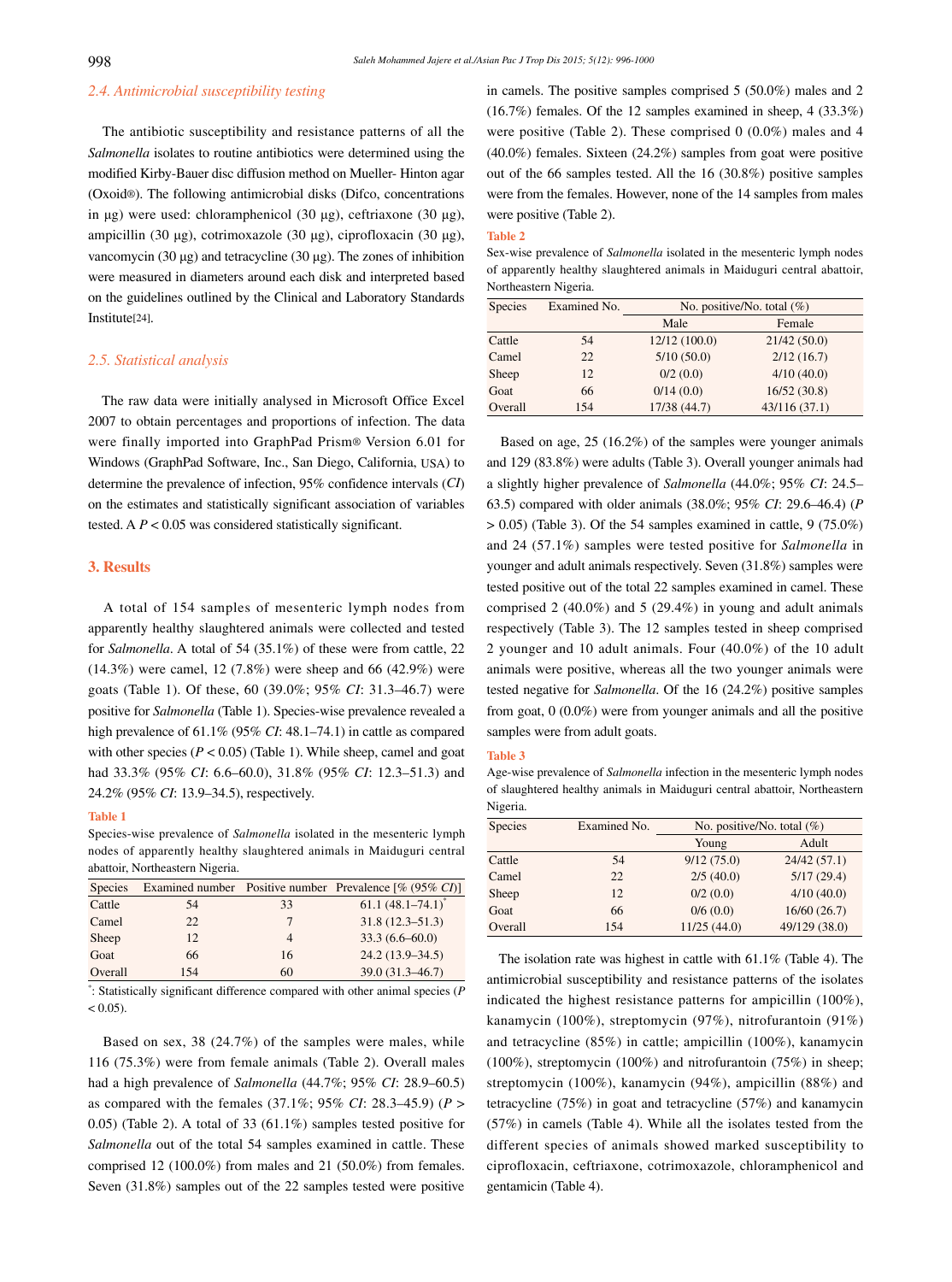# *2.4. Antimicrobial susceptibility testing*

 The antibiotic susceptibility and resistance patterns of all the *Salmonella* isolates to routine antibiotics were determined using the modified Kirby-Bauer disc diffusion method on Mueller- Hinton agar (Oxoid®). The following antimicrobial disks (Difco, concentrations in μg) were used: chloramphenicol (30 μg), ceftriaxone (30 μg), ampicillin (30 μg), cotrimoxazole (30 μg), ciprofloxacin (30 μg), vancomycin (30 μg) and tetracycline (30 μg). The zones of inhibition were measured in diameters around each disk and interpreted based on the guidelines outlined by the Clinical and Laboratory Standards Institute[24].

# *2.5. Statistical analysis*

 The raw data were initially analysed in Microsoft Office Excel 2007 to obtain percentages and proportions of infection. The data were finally imported into GraphPad Prism® Version 6.01 for Windows (GraphPad Software, Inc., San Diego, California, USA) to determine the prevalence of infection, 95% confidence intervals (*CI*) on the estimates and statistically significant association of variables tested. A  $P < 0.05$  was considered statistically significant.

# **3. Results**

 A total of 154 samples of mesenteric lymph nodes from apparently healthy slaughtered animals were collected and tested for *Salmonella*. A total of 54 (35.1%) of these were from cattle, 22 (14.3%) were camel, 12 (7.8%) were sheep and 66 (42.9%) were goats (Table 1). Of these, 60 (39.0%; 95% *CI*: 31.3–46.7) were positive for *Salmonella* (Table 1). Species-wise prevalence revealed a high prevalence of 61.1% (95% *CI*: 48.1–74.1) in cattle as compared with other species  $(P < 0.05)$  (Table 1). While sheep, camel and goat had 33.3% (95% *CI*: 6.6–60.0), 31.8% (95% *CI*: 12.3–51.3) and 24.2% (95% *CI*: 13.9–34.5), respectively.

#### **Table 1**

Species-wise prevalence of *Salmonella* isolated in the mesenteric lymph nodes of apparently healthy slaughtered animals in Maiduguri central abattoir, Northeastern Nigeria.

| <b>Species</b> |     |    | Examined number Positive number Prevalence [% (95% CI)] |
|----------------|-----|----|---------------------------------------------------------|
| Cattle         | 54  | 33 | $61.1 (48.1 - 74.1)^*$                                  |
| Camel          | 22  |    | $31.8(12.3 - 51.3)$                                     |
| Sheep          | 12  | 4  | $33.3(6.6 - 60.0)$                                      |
| Goat           | 66  | 16 | $24.2(13.9 - 34.5)$                                     |
| Overall        | 154 | 60 | 39.0 (31.3-46.7)                                        |

\* : Statistically significant difference compared with other animal species (*P*  $< 0.05$ ).

 Based on sex, 38 (24.7%) of the samples were males, while 116 (75.3%) were from female animals (Table 2). Overall males had a high prevalence of *Salmonella* (44.7%; 95% *CI*: 28.9–60.5) as compared with the females (37.1%; 95% *CI*: 28.3–45.9) (*P* > 0.05) (Table 2). A total of 33 (61.1%) samples tested positive for *Salmonella* out of the total 54 samples examined in cattle. These comprised 12 (100.0%) from males and 21 (50.0%) from females. Seven (31.8%) samples out of the 22 samples tested were positive in camels. The positive samples comprised 5 (50.0%) males and 2 (16.7%) females. Of the 12 samples examined in sheep, 4 (33.3%) were positive (Table 2). These comprised 0 (0.0%) males and 4 (40.0%) females. Sixteen (24.2%) samples from goat were positive out of the 66 samples tested. All the 16 (30.8%) positive samples were from the females. However, none of the 14 samples from males were positive (Table 2).

#### **Table 2**

Sex-wise prevalence of *Salmonella* isolated in the mesenteric lymph nodes of apparently healthy slaughtered animals in Maiduguri central abattoir, Northeastern Nigeria.

| <b>Species</b> | Examined No. | No. positive/No. total $(\%)$ |              |  |  |  |
|----------------|--------------|-------------------------------|--------------|--|--|--|
|                |              | Male                          | Female       |  |  |  |
| Cattle         | 54           | 12/12(100.0)                  | 21/42(50.0)  |  |  |  |
| Camel          | 22           | 5/10(50.0)                    | 2/12(16.7)   |  |  |  |
| Sheep          | 12           | 0/2(0.0)                      | 4/10(40.0)   |  |  |  |
| Goat           | 66           | 0/14(0.0)                     | 16/52(30.8)  |  |  |  |
| Overall        | 154          | 17/38 (44.7)                  | 43/116(37.1) |  |  |  |

 Based on age, 25 (16.2%) of the samples were younger animals and 129 (83.8%) were adults (Table 3). Overall younger animals had a slightly higher prevalence of *Salmonella* (44.0%; 95% *CI*: 24.5– 63.5) compared with older animals (38.0%; 95% *CI*: 29.6–46.4) (*P*  $> 0.05$ ) (Table 3). Of the 54 samples examined in cattle, 9 (75.0%) and 24 (57.1%) samples were tested positive for *Salmonella* in younger and adult animals respectively. Seven (31.8%) samples were tested positive out of the total 22 samples examined in camel. These comprised 2 (40.0%) and 5 (29.4%) in young and adult animals respectively (Table 3). The 12 samples tested in sheep comprised 2 younger and 10 adult animals. Four (40.0%) of the 10 adult animals were positive, whereas all the two younger animals were tested negative for *Salmonella*. Of the 16 (24.2%) positive samples from goat, 0 (0.0%) were from younger animals and all the positive samples were from adult goats.

#### **Table 3**

Age-wise prevalence of *Salmonella* infection in the mesenteric lymph nodes of slaughtered healthy animals in Maiduguri central abattoir, Northeastern Nigeria.

| <b>Species</b> | Examined No. | No. positive/No. total $(\%)$ |               |  |  |  |
|----------------|--------------|-------------------------------|---------------|--|--|--|
|                |              | Young                         | Adult         |  |  |  |
| Cattle         | 54           | 9/12(75.0)                    | 24/42(57.1)   |  |  |  |
| Camel          | 22           | 2/5(40.0)                     | 5/17(29.4)    |  |  |  |
| Sheep          | 12           | 0/2(0.0)                      | 4/10(40.0)    |  |  |  |
| Goat           | 66           | 0/6(0.0)                      | 16/60(26.7)   |  |  |  |
| Overall        | 154          | 11/25(44.0)                   | 49/129 (38.0) |  |  |  |

 The isolation rate was highest in cattle with 61.1% (Table 4). The antimicrobial susceptibility and resistance patterns of the isolates indicated the highest resistance patterns for ampicillin (100%), kanamycin (100%), streptomycin (97%), nitrofurantoin (91%) and tetracycline (85%) in cattle; ampicillin (100%), kanamycin (100%), streptomycin (100%) and nitrofurantoin (75%) in sheep; streptomycin (100%), kanamycin (94%), ampicillin (88%) and tetracycline (75%) in goat and tetracycline (57%) and kanamycin (57%) in camels (Table 4). While all the isolates tested from the different species of animals showed marked susceptibility to ciprofloxacin, ceftriaxone, cotrimoxazole, chloramphenicol and gentamicin (Table 4).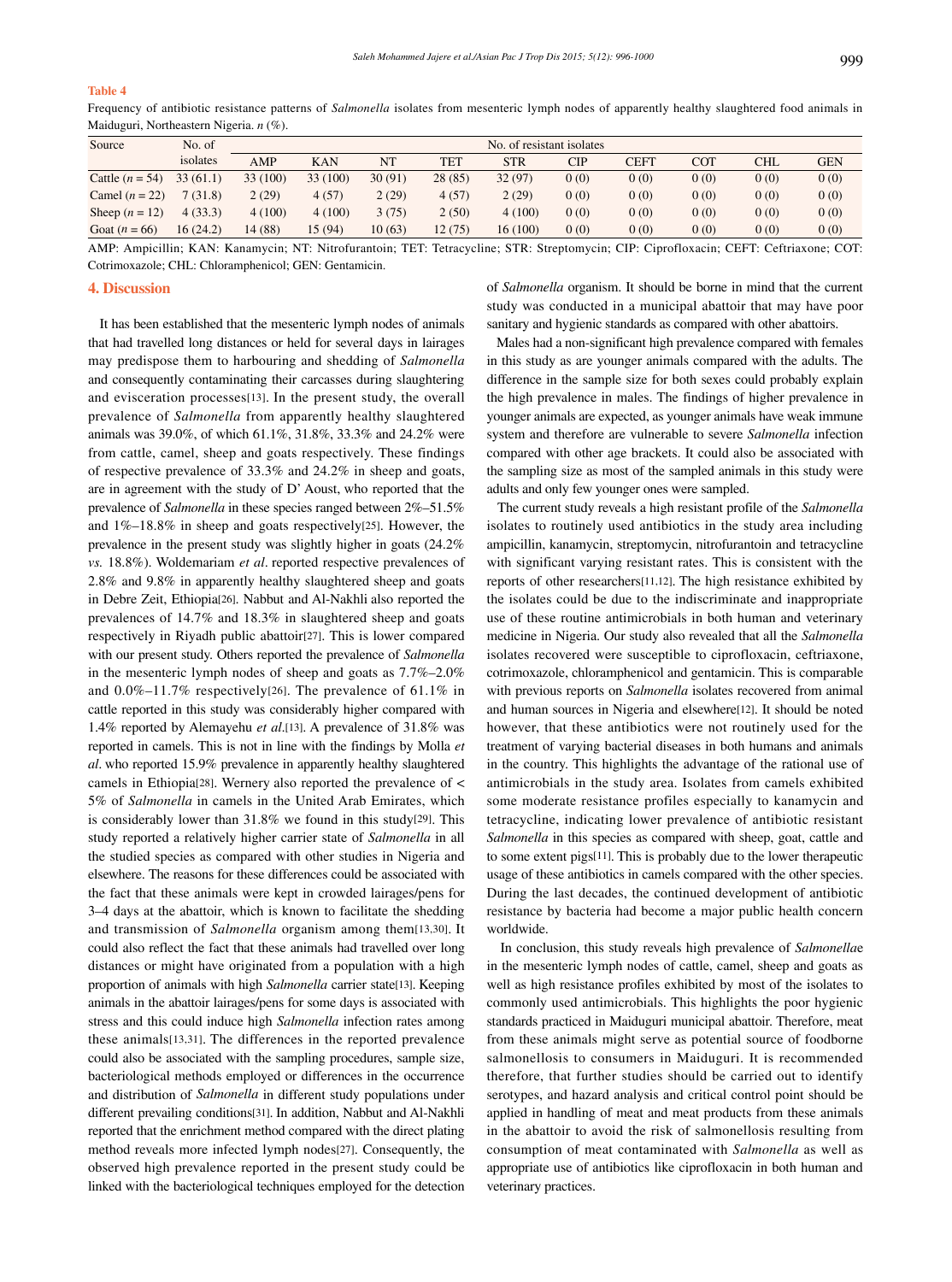### **Table 4**

Frequency of antibiotic resistance patterns of *Salmonella* isolates from mesenteric lymph nodes of apparently healthy slaughtered food animals in Maiduguri, Northeastern Nigeria. *n* (%).

| Source            | No. of   | No of resistant isolates |            |           |            |            |      |      |      |            |            |
|-------------------|----------|--------------------------|------------|-----------|------------|------------|------|------|------|------------|------------|
|                   | isolates | AMP                      | <b>KAN</b> | <b>NT</b> | <b>TET</b> | <b>STR</b> | CIP  | CEFT | COT  | <b>CHL</b> | <b>GEN</b> |
| Cattle $(n = 54)$ | 33(61.1) | 33(100)                  | 33(100)    | 30(91)    | 28 (85)    | 32 (97)    | 0(0) | 0(0) | 0(0) | 0(0)       | 0(0)       |
| Camel $(n = 22)$  | 7(31.8)  | 2(29)                    | 4(57)      | 2(29)     | 4(57)      | 2(29)      | 0(0) | 0(0) | 0(0) | 0(0)       | 0(0)       |
| Sheep $(n = 12)$  | 4(33.3)  | 4(100)                   | 4(100)     | 3(75)     | 2(50)      | 4(100)     | 0(0) | 0(0) | 0(0) | 0(0)       | 0(0)       |
| Goat $(n = 66)$   | 16(24.2) | 14(88)                   | 15 (94)    | 10(63)    | 12(75)     | 16 (100)   | 0(0) | 0(0) | 0(0) | 0(0)       | 0(0)       |

AMP: Ampicillin; KAN: Kanamycin; NT: Nitrofurantoin; TET: Tetracycline; STR: Streptomycin; CIP: Ciprofloxacin; CEFT: Ceftriaxone; COT: Cotrimoxazole; CHL: Chloramphenicol; GEN: Gentamicin.

# **4. Discussion**

 It has been established that the mesenteric lymph nodes of animals that had travelled long distances or held for several days in lairages may predispose them to harbouring and shedding of *Salmonella* and consequently contaminating their carcasses during slaughtering and evisceration processes[13]. In the present study, the overall prevalence of *Salmonella* from apparently healthy slaughtered animals was 39.0%, of which 61.1%, 31.8%, 33.3% and 24.2% were from cattle, camel, sheep and goats respectively. These findings of respective prevalence of 33.3% and 24.2% in sheep and goats, are in agreement with the study of D' Aoust, who reported that the prevalence of *Salmonella* in these species ranged between 2%–51.5% and 1%–18.8% in sheep and goats respectively[25]. However, the prevalence in the present study was slightly higher in goats (24.2% *vs.* 18.8%). Woldemariam *et al*. reported respective prevalences of 2.8% and 9.8% in apparently healthy slaughtered sheep and goats in Debre Zeit, Ethiopia[26]. Nabbut and Al-Nakhli also reported the prevalences of 14.7% and 18.3% in slaughtered sheep and goats respectively in Riyadh public abattoir[27]. This is lower compared with our present study. Others reported the prevalence of *Salmonella* in the mesenteric lymph nodes of sheep and goats as 7.7%–2.0% and 0.0%–11.7% respectively[26]. The prevalence of 61.1% in cattle reported in this study was considerably higher compared with 1.4% reported by Alemayehu *et al*.[13]. A prevalence of 31.8% was reported in camels. This is not in line with the findings by Molla *et al*. who reported 15.9% prevalence in apparently healthy slaughtered camels in Ethiopia[28]. Wernery also reported the prevalence of < 5% of *Salmonella* in camels in the United Arab Emirates, which is considerably lower than 31.8% we found in this study[29]. This study reported a relatively higher carrier state of *Salmonella* in all the studied species as compared with other studies in Nigeria and elsewhere. The reasons for these differences could be associated with the fact that these animals were kept in crowded lairages/pens for 3–4 days at the abattoir, which is known to facilitate the shedding and transmission of *Salmonella* organism among them[13,30]. It could also reflect the fact that these animals had travelled over long distances or might have originated from a population with a high proportion of animals with high *Salmonella* carrier state[13]. Keeping animals in the abattoir lairages/pens for some days is associated with stress and this could induce high *Salmonella* infection rates among these animals[13,31]. The differences in the reported prevalence could also be associated with the sampling procedures, sample size, bacteriological methods employed or differences in the occurrence and distribution of *Salmonella* in different study populations under different prevailing conditions[31]. In addition, Nabbut and Al-Nakhli reported that the enrichment method compared with the direct plating method reveals more infected lymph nodes[27]. Consequently, the observed high prevalence reported in the present study could be linked with the bacteriological techniques employed for the detection

of *Salmonella* organism. It should be borne in mind that the current study was conducted in a municipal abattoir that may have poor sanitary and hygienic standards as compared with other abattoirs.

 Males had a non-significant high prevalence compared with females in this study as are younger animals compared with the adults. The difference in the sample size for both sexes could probably explain the high prevalence in males. The findings of higher prevalence in younger animals are expected, as younger animals have weak immune system and therefore are vulnerable to severe *Salmonella* infection compared with other age brackets. It could also be associated with the sampling size as most of the sampled animals in this study were adults and only few younger ones were sampled.

 The current study reveals a high resistant profile of the *Salmonella* isolates to routinely used antibiotics in the study area including ampicillin, kanamycin, streptomycin, nitrofurantoin and tetracycline with significant varying resistant rates. This is consistent with the reports of other researchers[11,12]. The high resistance exhibited by the isolates could be due to the indiscriminate and inappropriate use of these routine antimicrobials in both human and veterinary medicine in Nigeria. Our study also revealed that all the *Salmonella* isolates recovered were susceptible to ciprofloxacin, ceftriaxone, cotrimoxazole, chloramphenicol and gentamicin. This is comparable with previous reports on *Salmonella* isolates recovered from animal and human sources in Nigeria and elsewhere[12]. It should be noted however, that these antibiotics were not routinely used for the treatment of varying bacterial diseases in both humans and animals in the country. This highlights the advantage of the rational use of antimicrobials in the study area. Isolates from camels exhibited some moderate resistance profiles especially to kanamycin and tetracycline, indicating lower prevalence of antibiotic resistant *Salmonella* in this species as compared with sheep, goat, cattle and to some extent pigs[11]. This is probably due to the lower therapeutic usage of these antibiotics in camels compared with the other species. During the last decades, the continued development of antibiotic resistance by bacteria had become a major public health concern worldwide.

 In conclusion, this study reveals high prevalence of *Salmonella*e in the mesenteric lymph nodes of cattle, camel, sheep and goats as well as high resistance profiles exhibited by most of the isolates to commonly used antimicrobials. This highlights the poor hygienic standards practiced in Maiduguri municipal abattoir. Therefore, meat from these animals might serve as potential source of foodborne salmonellosis to consumers in Maiduguri. It is recommended therefore, that further studies should be carried out to identify serotypes, and hazard analysis and critical control point should be applied in handling of meat and meat products from these animals in the abattoir to avoid the risk of salmonellosis resulting from consumption of meat contaminated with *Salmonella* as well as appropriate use of antibiotics like ciprofloxacin in both human and veterinary practices.